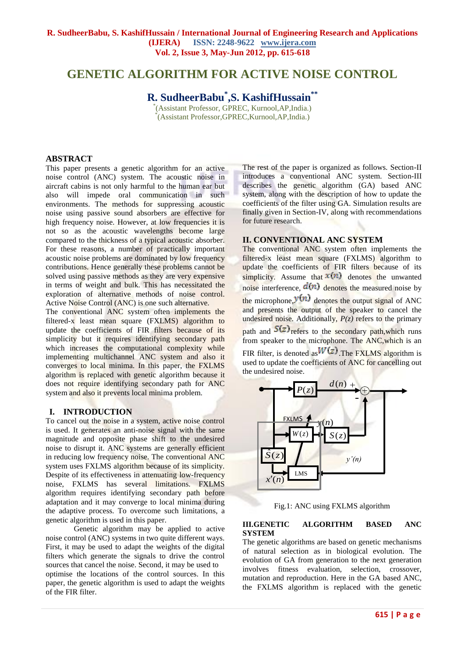# **GENETIC ALGORITHM FOR ACTIVE NOISE CONTROL**

**R. SudheerBabu\* ,S. KashifHussain\*\***

\* (Assistant Professor, GPREC, Kurnool,AP,India.) \* (Assistant Professor,GPREC,Kurnool,AP,India.)

## **ABSTRACT**

This paper presents a genetic algorithm for an active noise control (ANC) system. The acoustic noise in aircraft cabins is not only harmful to the human ear but also will impede oral communication in such environments. The methods for suppressing acoustic noise using passive sound absorbers are effective for high frequency noise. However, at low frequencies it is not so as the acoustic wavelengths become large compared to the thickness of a typical acoustic absorber. For these reasons, a number of practically important acoustic noise problems are dominated by low frequency contributions. Hence generally these problems cannot be solved using passive methods as they are very expensive in terms of weight and bulk. This has necessitated the exploration of alternative methods of noise control. Active Noise Control (ANC) is one such alternative.

The conventional ANC system often implements the filtered-x least mean square (FXLMS) algorithm to update the coefficients of FIR filters because of its simplicity but it requires identifying secondary path which increases the computational complexity while implementing multichannel ANC system and also it converges to local minima. In this paper, the FXLMS algorithm is replaced with genetic algorithm because it does not require identifying secondary path for ANC system and also it prevents local minima problem.

#### **I. INTRODUCTION**

To cancel out the noise in a system, active noise control is used. It generates an anti-noise signal with the same magnitude and opposite phase shift to the undesired noise to disrupt it. ANC systems are generally efficient in reducing low frequency noise. The conventional ANC system uses FXLMS algorithm because of its simplicity. Despite of its effectiveness in attenuating low-frequency noise, FXLMS has several limitations. FXLMS algorithm requires identifying secondary path before adaptation and it may converge to local minima during the adaptive process. To overcome such limitations, a genetic algorithm is used in this paper.

Genetic algorithm may be applied to active noise control (ANC) systems in two quite different ways. First, it may be used to adapt the weights of the digital filters which generate the signals to drive the control sources that cancel the noise. Second, it may be used to optimise the locations of the control sources. In this paper, the genetic algorithm is used to adapt the weights of the FIR filter.

The rest of the paper is organized as follows. Section-II introduces a conventional ANC system. Section-III describes the genetic algorithm (GA) based ANC system, along with the description of how to update the coefficients of the filter using GA. Simulation results are finally given in Section-IV, along with recommendations for future research.

## **II. CONVENTIONAL ANC SYSTEM**

The conventional ANC system often implements the filtered-x least mean square (FXLMS) algorithm to update the coefficients of FIR filters because of its simplicity. Assume that  $x(n)$  denotes the unwanted noise interference,  $d(n)$  denotes the measured noise by the microphone,  $y(n)$  denotes the output signal of ANC and presents the output of the speaker to cancel the undesired noise. Additionally,  $P(z)$  refers to the primary path and  $S(z)$  refers to the secondary path, which runs from speaker to the microphone. The ANC,which is an FIR filter, is denoted as  $W(z)$ . The FXLMS algorithm is used to update the coefficients of ANC for cancelling out the undesired noise.



Fig.1: ANC using FXLMS algorithm

#### **III.GENETIC ALGORITHM BASED ANC SYSTEM**

The genetic algorithms are based on genetic mechanisms of natural selection as in biological evolution. The evolution of GA from generation to the next generation involves fitness evaluation, selection, crossover, mutation and reproduction. Here in the GA based ANC, the FXLMS algorithm is replaced with the genetic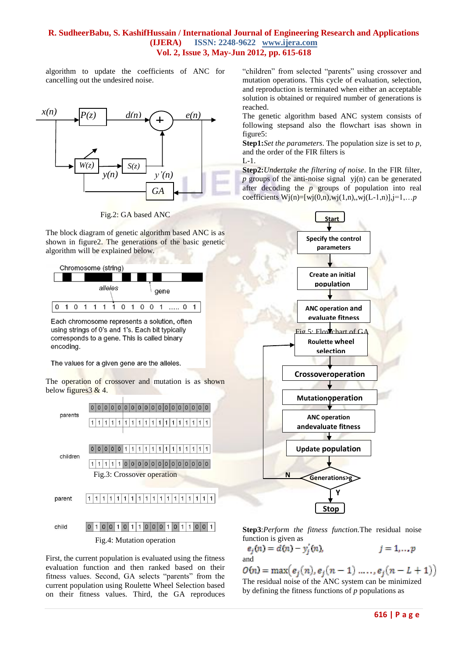algorithm to update the coefficients of ANC for cancelling out the undesired noise.



Fig.2: GA based ANC

The block diagram of genetic algorithm based ANC is as shown in figure2. The generations of the basic genetic algorithm will be explained below.



Each chromosome represents a solution, often using strings of 0's and 1's. Each bit typically corresponds to a gene. This is called binary encoding.

The values for a given gene are the alleles.

The operation of crossover and mutation is as shown below figures  $3 \& 4$ .



#### Fig.4: Mutation operation

First, the current population is evaluated using the fitness evaluation function and then ranked based on their fitness values. Second, GA selects "parents" from the current population using Roulette Wheel Selection based on their fitness values. Third, the GA reproduces "children" from selected "parents" using crossover and mutation operations. This cycle of evaluation, selection, and reproduction is terminated when either an acceptable solution is obtained or required number of generations is reached.

The genetic algorithm based ANC system consists of following stepsand also the flowchart isas shown in figure5:

**Step1:***Set the parameters*. The population size is set to *p,*  and the order of the FIR filters is  $L_{-1}$ 

**Step2:***Undertake the filtering of noise*. In the FIR filter, *p* groups of the anti-noise signal yj(n) can be generated after decoding the *p* groups of population into real coefficients  $W(j(n)=[wj(0,n),wj(1,n),wj(L-1,n)]$ ,  $j=1,...,p$ 



**Step3**:*Perform the fitness function.*The residual noise function is given as

$$
e_j(n) = d(n) - y'_j(n), \qquad j = 1, \dots p
$$
  
and

 $O(n) = \max(e_i(n), e_i(n-1), \ldots, e_i(n-L+1))$ The residual noise of the ANC system can be minimized by defining the fitness functions of *p* populations as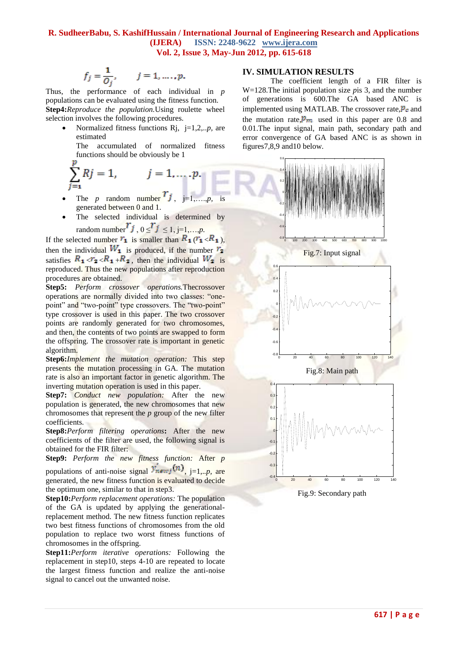$$
f_j = \frac{1}{O_j}, \qquad j = 1, \ldots, p.
$$

Thus, the performance of each individual in *p* populations can be evaluated using the fitness function. **Step4:***Reproduce the population.*Using roulette wheel selection involves the following procedures.

 Normalized fitness functions Rj, j=1,2,..*p,* are estimated

The accumulated of normalized fitness functions should be obviously be  $1$ 

$$
\sum_{j=1}^{c} Rj = 1, \qquad j = 1, \ldots, p.
$$

- The *p* random number  $j$ ,  $j=1,...,p$ , is generated between 0 and 1.
- The selected individual is determined by random number  $j$ ,  $0 \leq j \leq 1$ ,  $j=1,...,p$ .

If the selected number  $r_1$  is smaller than  $R_1(r_1 \lt R_1)$ , then the individual  $W_1$  is produced, if the number  $r_2$ satisfies  $R_1 < r_2 < R_1 + R_2$ , then the individual  $W_2$  is reproduced. Thus the new populations after reproduction procedures are obtained.

**Step5:** *Perform crossover operations.*Thecrossover operations are normally divided into two classes: "onepoint" and "two-point" type crossovers. The "two-point" type crossover is used in this paper. The two crossover points are randomly generated for two chromosomes, and then, the contents of two points are swapped to form the offspring. The crossover rate is important in genetic algorithm.

**Step6:***Implement the mutation operation:* This step presents the mutation processing in GA. The mutation rate is also an important factor in genetic algorithm. The inverting mutation operation is used in this paper.

**Step7:** *Conduct new population:* After the new population is generated, the new chromosomes that new chromosomes that represent the *p* group of the new filter coefficients.

**Step8:***Perform filtering operations***:** After the new coefficients of the filter are used, the following signal is obtained for the FIR filter:

**Step9:** *Perform the new fitness function:* After *p*

populations of anti-noise signal  $y_{newj}(n)$ ,  $_{i=1...p, \text{ are}}$ generated, the new fitness function is evaluated to decide the optimum one, similar to that in step3.

**Step10:***Perform replacement operations:* The population of the GA is updated by applying the generationalreplacement method. The new fitness function replicates two best fitness functions of chromosomes from the old population to replace two worst fitness functions of chromosomes in the offspring.

**Step11:***Perform iterative operations:* Following the replacement in step10, steps 4-10 are repeated to locate the largest fitness function and realize the anti-noise signal to cancel out the unwanted noise.

#### **IV. SIMULATION RESULTS**

The coefficient length of a FIR filter is W=128.The initial population size *p*is 3, and the number of generations is 600.The GA based ANC is implemented using MATLAB. The crossover rate, $\vec{P}_c$  and the mutation rate,  $\mathbf{p}_m$  used in this paper are 0.8 and 0.01.The input signal, main path, secondary path and error convergence of GA based ANC is as shown in figures7,8,9 and10 below.



Fig.9: Secondary path